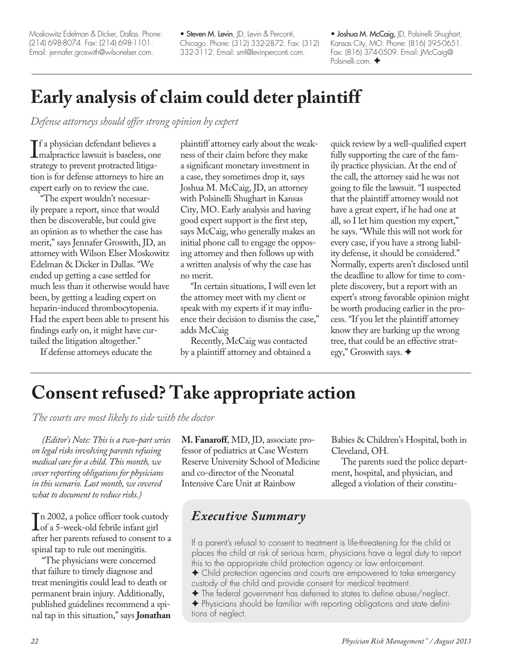# **Consent refused? Take appropriate action**

*The courts are most likely to side with the doctor*

*(Editor's Note: This is a two-part series on legal risks involving parents refusing medical care for a child. This month, we cover reporting obligations for physicians in this scenario. Last month, we covered what to document to reduce risks.)*

In 2002, a ponce omcer took custos<br>of a 5-week-old febrile infant girl<br>after her parents refused to consent t n 2002, a police officer took custody after her parents refused to consent to a spinal tap to rule out meningitis.

"The physicians were concerned that failure to timely diagnose and treat meningitis could lead to death or permanent brain injury. Additionally, published guidelines recommend a spinal tap in this situation," says **Jonathan**  **M. Fanaroff**, MD, JD, associate professor of pediatrics at Case Western Reserve University School of Medicine and co-director of the Neonatal Intensive Care Unit at Rainbow

Babies & Children's Hospital, both in Cleveland, OH.

The parents sued the police department, hospital, and physician, and alleged a violation of their constitu-

# *Executive Summary*

If a parent's refusal to consent to treatment is life-threatening for the child or places the child at risk of serious harm, physicians have a legal duty to report this to the appropriate child protection agency or law enforcement.

F Child protection agencies and courts are empowered to take emergency custody of the child and provide consent for medical treatment.

 $\blacklozenge$  The federal government has deferred to states to define abuse/neglect. F Physicians should be familiar with reporting obligations and state definitions of neglect.